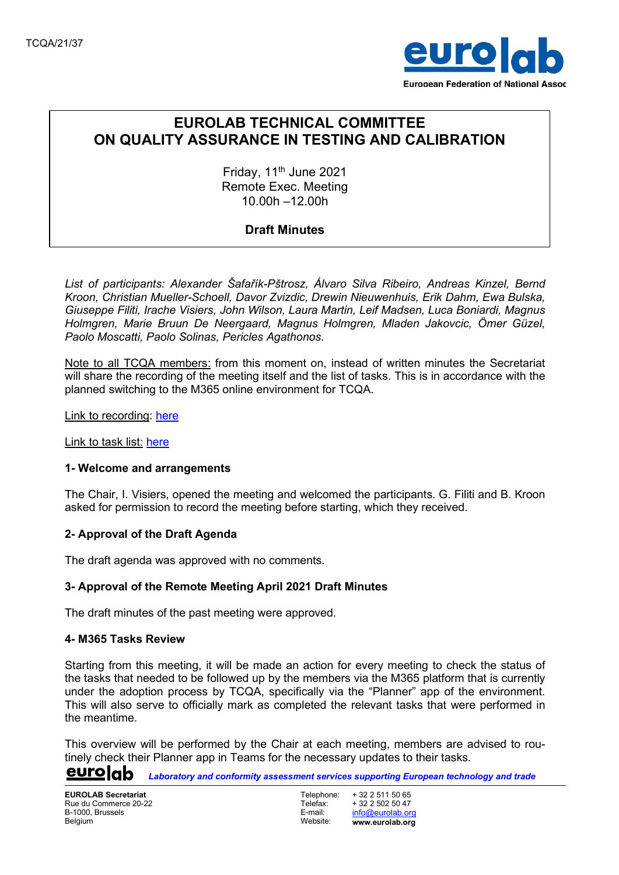

# EUROLAB TECHNICAL COMMITTEE ON QUALITY ASSURANCE IN TESTING AND CALIBRATION

Friday,  $11<sup>th</sup>$  June 2021 Remote Exec. Meeting 10.00h –12.00h

## Draft Minutes

List of participants: Alexander Šafařík-Pštrosz, Álvaro Silva Ribeiro, Andreas Kinzel, Bernd Kroon, Christian Mueller-Schoell, Davor Zvizdic, Drewin Nieuwenhuis, Erik Dahm, Ewa Bulska, Giuseppe Filiti, Irache Visiers, John Wilson, Laura Martin, Leif Madsen, Luca Boniardi, Magnus Holmgren, Marie Bruun De Neergaard, Magnus Holmgren, Mladen Jakovcic, Ömer Güzel, Paolo Moscatti, Paolo Solinas, Pericles Agathonos.

Note to all TCQA members: from this moment on, instead of written minutes the Secretariat will share the recording of the meeting itself and the list of tasks. This is in accordance with the planned switching to the M365 online environment for TCQA.

Link to recording: here

Link to task list: here

#### 1- Welcome and arrangements

The Chair, I. Visiers, opened the meeting and welcomed the participants. G. Filiti and B. Kroon asked for permission to record the meeting before starting, which they received.

## 2- Approval of the Draft Agenda

The draft agenda was approved with no comments.

## 3- Approval of the Remote Meeting April 2021 Draft Minutes

The draft minutes of the past meeting were approved.

#### 4- M365 Tasks Review

Starting from this meeting, it will be made an action for every meeting to check the status of the tasks that needed to be followed up by the members via the M365 platform that is currently under the adoption process by TCQA, specifically via the "Planner" app of the environment. This will also serve to officially mark as completed the relevant tasks that were performed in the meantime.

This overview will be performed by the Chair at each meeting, members are advised to routinely check their Planner app in Teams for the necessary updates to their tasks.

eurolab Laboratory and conformity assessment services supporting European technology and trade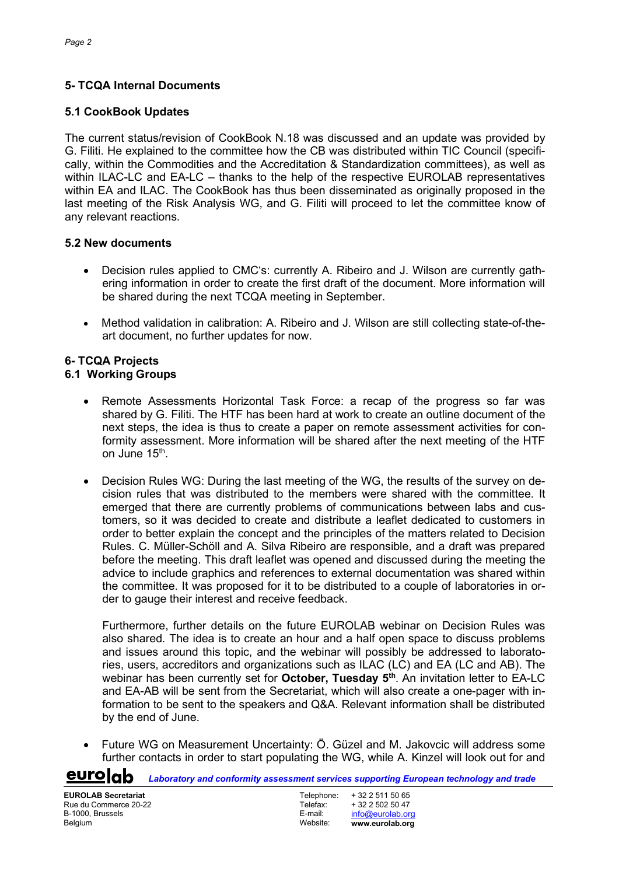# 5- TCQA Internal Documents

# 5.1 CookBook Updates

The current status/revision of CookBook N.18 was discussed and an update was provided by G. Filiti. He explained to the committee how the CB was distributed within TIC Council (specifically, within the Commodities and the Accreditation & Standardization committees), as well as within ILAC-LC and EA-LC – thanks to the help of the respective EUROLAB representatives within EA and ILAC. The CookBook has thus been disseminated as originally proposed in the last meeting of the Risk Analysis WG, and G. Filiti will proceed to let the committee know of any relevant reactions.

# 5.2 New documents

- Decision rules applied to CMC's: currently A. Ribeiro and J. Wilson are currently gathering information in order to create the first draft of the document. More information will be shared during the next TCQA meeting in September.
- Method validation in calibration: A. Ribeiro and J. Wilson are still collecting state-of-theart document, no further updates for now.

# 6- TCQA Projects

# 6.1 Working Groups

- Remote Assessments Horizontal Task Force: a recap of the progress so far was shared by G. Filiti. The HTF has been hard at work to create an outline document of the next steps, the idea is thus to create a paper on remote assessment activities for conformity assessment. More information will be shared after the next meeting of the HTF on June 15<sup>th</sup>.
- Decision Rules WG: During the last meeting of the WG, the results of the survey on decision rules that was distributed to the members were shared with the committee. It emerged that there are currently problems of communications between labs and customers, so it was decided to create and distribute a leaflet dedicated to customers in order to better explain the concept and the principles of the matters related to Decision Rules. C. Müller-Schöll and A. Silva Ribeiro are responsible, and a draft was prepared before the meeting. This draft leaflet was opened and discussed during the meeting the advice to include graphics and references to external documentation was shared within the committee. It was proposed for it to be distributed to a couple of laboratories in order to gauge their interest and receive feedback.

Furthermore, further details on the future EUROLAB webinar on Decision Rules was also shared. The idea is to create an hour and a half open space to discuss problems and issues around this topic, and the webinar will possibly be addressed to laboratories, users, accreditors and organizations such as ILAC (LC) and EA (LC and AB). The webinar has been currently set for October, Tuesday 5<sup>th</sup>. An invitation letter to EA-LC and EA-AB will be sent from the Secretariat, which will also create a one-pager with information to be sent to the speakers and Q&A. Relevant information shall be distributed by the end of June.

 Future WG on Measurement Uncertainty: Ö. Güzel and M. Jakovcic will address some further contacts in order to start populating the WG, while A. Kinzel will look out for and

Laboratory and conformity assessment services supporting European technology and trade

<u>eurolab</u>